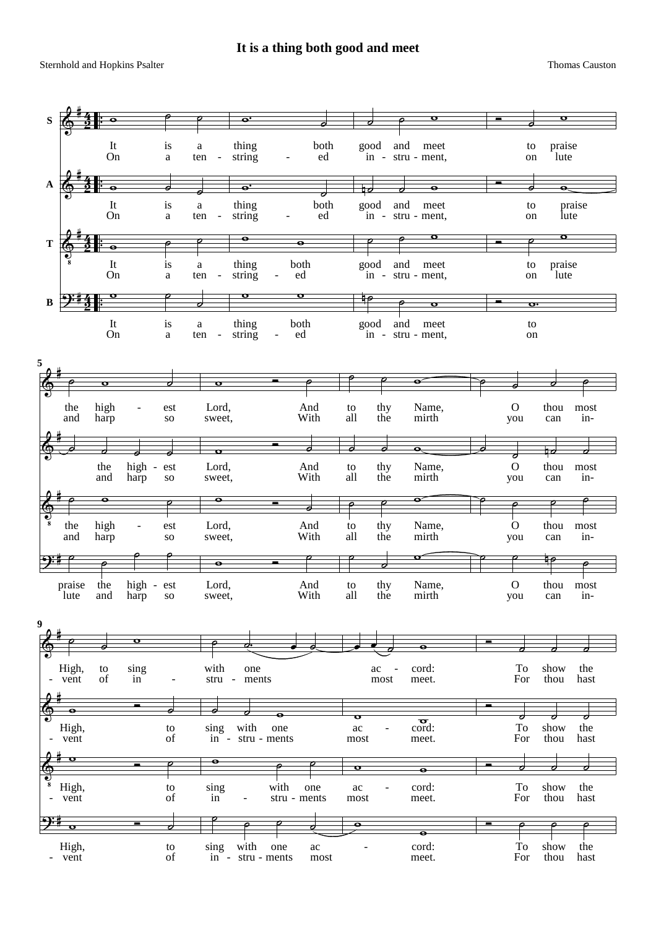Sternhold and Hopkins Psalter Thomas Causton and Hopkins Psalter Thomas Causton and Hopkins Psalter Thomas Causton and Thomas Causton and Thomas Causton and Thomas Causton and Thomas Causton and Thomas Causton and Thomas C

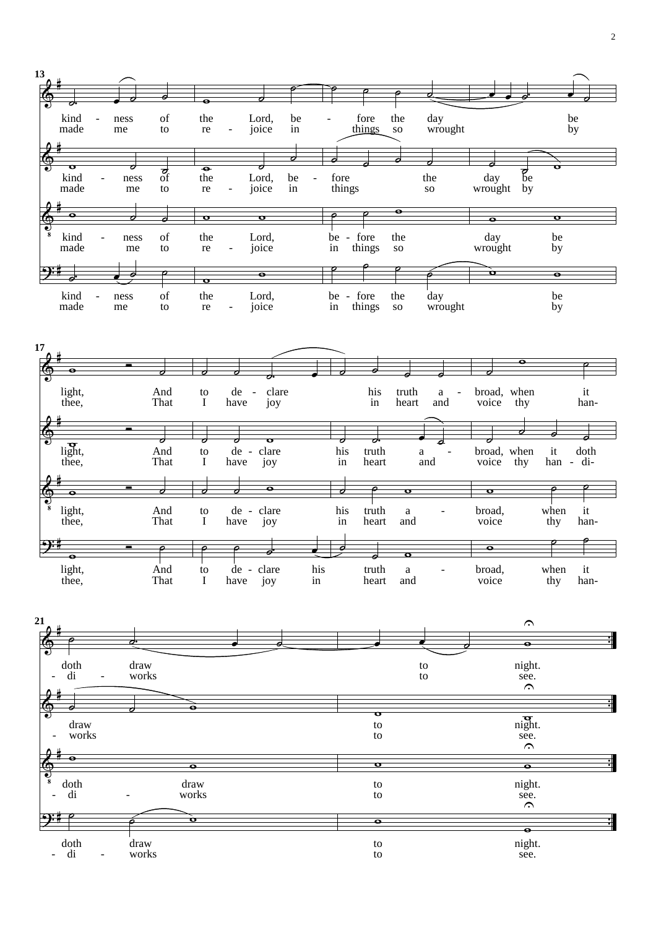